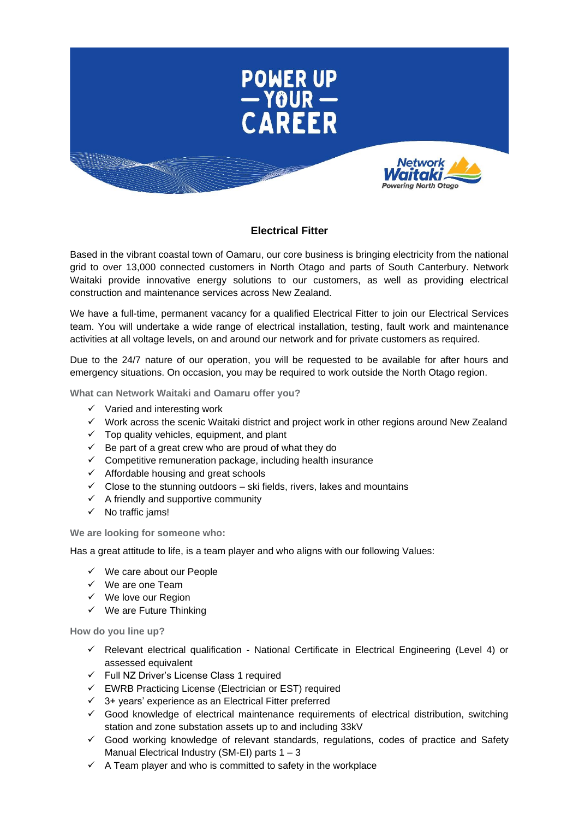

## **Electrical Fitter**

Based in the vibrant coastal town of Oamaru, our core business is bringing electricity from the national grid to over 13,000 connected customers in North Otago and parts of South Canterbury. Network Waitaki provide innovative energy solutions to our customers, as well as providing electrical construction and maintenance services across New Zealand.

We have a full-time, permanent vacancy for a qualified Electrical Fitter to join our Electrical Services team. You will undertake a wide range of electrical installation, testing, fault work and maintenance activities at all voltage levels, on and around our network and for private customers as required.

Due to the 24/7 nature of our operation, you will be requested to be available for after hours and emergency situations. On occasion, you may be required to work outside the North Otago region.

**What can Network Waitaki and Oamaru offer you?**

- $\checkmark$  Varied and interesting work
- ✓ Work across the scenic Waitaki district and project work in other regions around New Zealand
- $\checkmark$  Top quality vehicles, equipment, and plant
- $\checkmark$  Be part of a great crew who are proud of what they do
- $\checkmark$  Competitive remuneration package, including health insurance
- ✓ Affordable housing and great schools
- $\checkmark$  Close to the stunning outdoors ski fields, rivers, lakes and mountains
- $\checkmark$  A friendly and supportive community
- ✓ No traffic jams!

**We are looking for someone who:**

Has a great attitude to life, is a team player and who aligns with our following Values:

- ✓ We care about our People
- ✓ We are one Team
- ✓ We love our Region
- $\checkmark$  We are Future Thinking

**How do you line up?** 

- $\checkmark$  Relevant electrical qualification National Certificate in Electrical Engineering (Level 4) or assessed equivalent
- ✓ Full NZ Driver's License Class 1 required
- ✓ EWRB Practicing License (Electrician or EST) required
- $\checkmark$  3+ years' experience as an Electrical Fitter preferred
- ✓ Good knowledge of electrical maintenance requirements of electrical distribution, switching station and zone substation assets up to and including 33kV
- ✓ Good working knowledge of relevant standards, regulations, codes of practice and Safety Manual Electrical Industry (SM-EI) parts 1 – 3
- $\checkmark$  A Team player and who is committed to safety in the workplace